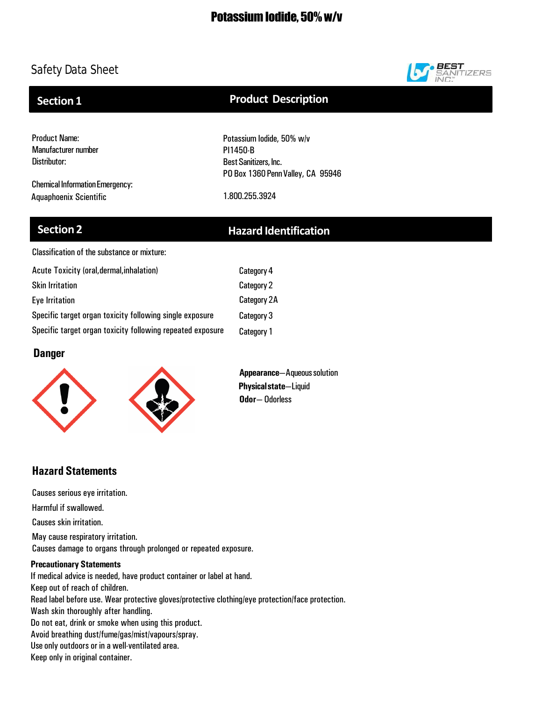

# **Section 1**

## **Product Description**

Product Name: Manufacturer number Distributor:

Chemical Information Emergency: Aquaphoenix Scientific 1.800.255.3924

Potassium Iodide, 50% w/v PI1450-B Best Sanitizers, Inc. PO Box 1360 Penn Valley, CA 95946

## **Section 2 Hazard Identification**

Classification of the substance or mixture:

| Acute Toxicity (oral, dermal, inhalation)                  | Category 4         |
|------------------------------------------------------------|--------------------|
| <b>Skin Irritation</b>                                     | Category 2         |
| Eye Irritation                                             | <b>Category 2A</b> |
| Specific target organ toxicity following single exposure   | Category 3         |
| Specific target organ toxicity following repeated exposure | Category 1         |

## **Danger**



**Appearance**—Aqueoussolution **Physicalstate**—Liquid **Odor**— Odorless

## **Hazard Statements**

Causes serious eye irritation.

Harmful if swallowed.

Causes skin irritation.

May cause respiratory irritation. Causes damage to organs through prolonged or repeated exposure.

## **Precautionary Statements**

If medical advice is needed, have product container or label at hand. Keep out of reach of children. Read label before use. Wear protective gloves/protective clothing/eye protection/face protection. Wash skin thoroughly after handling. Do not eat, drink or smoke when using this product. Avoid breathing dust/fume/gas/mist/vapours/spray. Use only outdoors or in a well-ventilated area. Keep only in original container.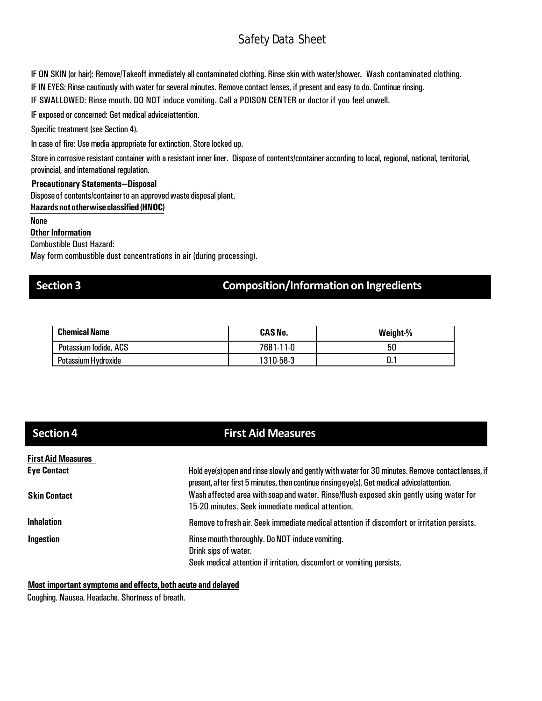IF ON SKIN (or hair): Remove/Takeoff immediately all contaminated clothing. Rinse skin with water/shower. Wash contaminated clothing.

IF IN EYES: Rinse cautiously with water for several minutes. Remove contact lenses, if present and easy to do. Continue rinsing.

IF SWALLOWED: Rinse mouth. DO NOT induce vomiting. Call a POISON CENTER or doctor if you feel unwell.

IF exposed or concerned: Get medical advice/attention.

Specific treatment (see Section 4).

In case of fire: Use media appropriate for extinction. Store locked up.

Store in corrosive resistant container with a resistant inner liner. Dispose of contents/container according to local, regional, national, territorial, provincial, and international regulation.

### **Precautionary Statements—Disposal**

Dispose of contents/container to an approved waste disposal plant.

**Hazardsnototherwiseclassified (HNOC)**

None

**Other Information** 

Combustible Dust Hazard:

May form combustible dust concentrations in air (during processing).

## **Section 3 Composition/Informationon Ingredients**

| <b>Chemical Name</b>  | <b>CAS No.</b> | Weight % |
|-----------------------|----------------|----------|
| Potassium lodide, ACS | 7681-11-0      | 50       |
| Potassium Hydroxide   | 1310-58-3      | . .      |

| <b>Section 4</b>                                | <b>First Aid Measures</b>                                                                                                                                                                                                                  |
|-------------------------------------------------|--------------------------------------------------------------------------------------------------------------------------------------------------------------------------------------------------------------------------------------------|
| <b>First Aid Measures</b><br><b>Eye Contact</b> | Hold eye(s) open and rinse slowly and gently with water for 30 minutes. Remove contact lenses, if                                                                                                                                          |
| <b>Skin Contact</b>                             | present, after first 5 minutes, then continue rinsing eye(s). Get medical advice/attention.<br>Wash affected area with soap and water. Rinse/flush exposed skin gently using water for<br>15-20 minutes. Seek immediate medical attention. |
| <b>Inhalation</b>                               | Remove to fresh air. Seek immediate medical attention if discomfort or irritation persists.                                                                                                                                                |
| Ingestion                                       | Rinse mouth thoroughly. Do NOT induce vomiting.<br>Drink sips of water.<br>Seek medical attention if irritation, discomfort or vomiting persists.                                                                                          |

## **Most important symptoms and effects,both acute and delayed**

Coughing. Nausea. Headache. Shortness of breath.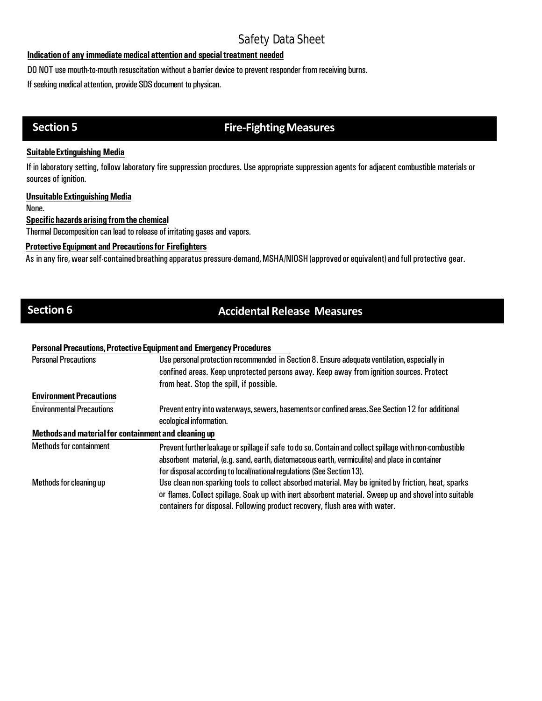## **Indication of any immediate medical attention and special treatment needed**

DO NOT use mouth-to-mouth resuscitation without a barrier device to prevent responder from receiving burns.

If seeking medical attention, provide SDS document to physican.

# **Section 5 Fire-Fighting Measures**

### **SuitableExtinguishing Media**

If in laboratory setting, follow laboratory fire suppression procdures. Use appropriate suppression agents for adjacent combustible materials or sources of ignition.

### **UnsuitableExtinguishingMedia**

None.

## **Specifichazards arising fromthe chemical**

Thermal Decomposition can lead to release of irritating gases and vapors.

## **Protective Equipment and Precautionsfor Firefighters**

As in any fire, wear self-contained breathing apparatus pressure-demand, MSHA/NIOSH (approved or equivalent) and full protective gear.

# **Section 6 Accidental Release Measures**

### **PersonalPrecautions,ProtectiveEquipmentand EmergencyProcedures**

| <b>Personal Precautions</b>                          | Use personal protection recommended in Section 8. Ensure adequate ventilation, especially in<br>confined areas. Keep unprotected persons away. Keep away from ignition sources. Protect                                                                                                     |
|------------------------------------------------------|---------------------------------------------------------------------------------------------------------------------------------------------------------------------------------------------------------------------------------------------------------------------------------------------|
|                                                      | from heat. Stop the spill, if possible.                                                                                                                                                                                                                                                     |
| <b>Environment Precautions</b>                       |                                                                                                                                                                                                                                                                                             |
| <b>Environmental Precautions</b>                     | Prevent entry into waterways, sewers, basements or confined areas. See Section 12 for additional<br>ecological information.                                                                                                                                                                 |
| Methods and material for containment and cleaning up |                                                                                                                                                                                                                                                                                             |
| <b>Methods for containment</b>                       | Prevent further leakage or spillage if safe to do so. Contain and collect spillage with non-combustible<br>absorbent material, (e.g. sand, earth, diatomaceous earth, vermiculite) and place in container<br>for disposal according to local/national regulations (See Section 13).         |
| Methods for cleaning up                              | Use clean non-sparking tools to collect absorbed material. May be ignited by friction, heat, sparks<br>or flames. Collect spillage. Soak up with inert absorbent material. Sweep up and shovel into suitable<br>containers for disposal. Following product recovery, flush area with water. |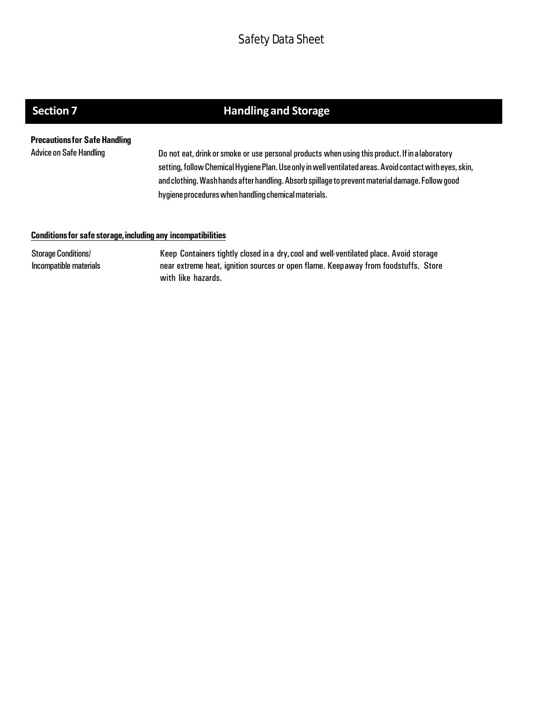# **Section 7 handling and Storage**

**Precautionsfor SafeHandling**

Advice on Safe Handling **Do not eat, drink or smoke or use personal products** when using this product. If in a laboratory setting, follow Chemical Hygiene Plan. Use only in well ventilated areas. Avoid contact with eyes, skin, and clothing. Wash hands after handling. Absorb spillage to prevent material damage. Follow good hygiene procedures when handling chemical materials.

### **Conditionsfor safe storage,including any incompatibilities**

Storage Conditions/ Incompatible materials

Keep Containers tightly closed in a dry,cool and well-ventilated place. Avoid storage near extreme heat, ignition sources or open flame. Keepaway from foodstuffs. Store with like hazards.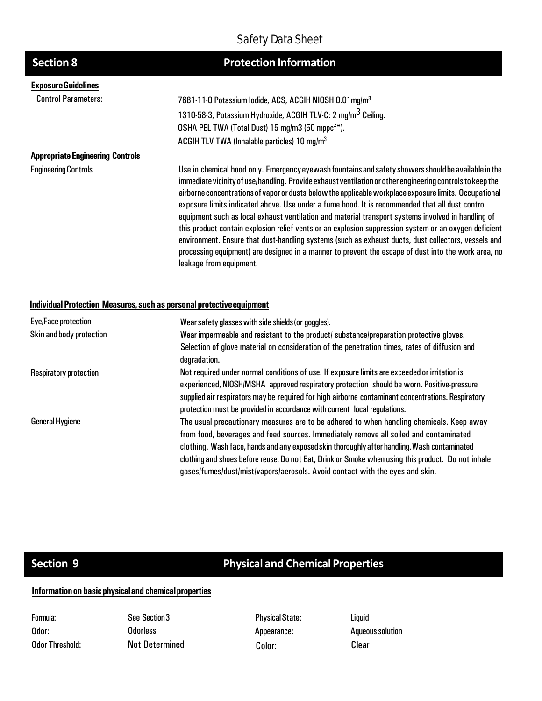| <b>Section 8</b>                        | <b>Protection Information</b>                                                                                                                                                                                                                                                                                                                                                                                                                                                                                                                                                                                                                                                                                                                                                                                                                                                          |
|-----------------------------------------|----------------------------------------------------------------------------------------------------------------------------------------------------------------------------------------------------------------------------------------------------------------------------------------------------------------------------------------------------------------------------------------------------------------------------------------------------------------------------------------------------------------------------------------------------------------------------------------------------------------------------------------------------------------------------------------------------------------------------------------------------------------------------------------------------------------------------------------------------------------------------------------|
| <b>Exposure Guidelines</b>              |                                                                                                                                                                                                                                                                                                                                                                                                                                                                                                                                                                                                                                                                                                                                                                                                                                                                                        |
| <b>Control Parameters:</b>              | 7681-11-0 Potassium lodide, ACS, ACGIH NIOSH 0.01mg/m <sup>3</sup>                                                                                                                                                                                                                                                                                                                                                                                                                                                                                                                                                                                                                                                                                                                                                                                                                     |
|                                         | 1310-58-3, Potassium Hydroxide, ACGIH TLV-C: 2 mg/m <sup>3</sup> Ceiling.                                                                                                                                                                                                                                                                                                                                                                                                                                                                                                                                                                                                                                                                                                                                                                                                              |
|                                         | OSHA PEL TWA (Total Dust) 15 mg/m3 (50 mppcf*).                                                                                                                                                                                                                                                                                                                                                                                                                                                                                                                                                                                                                                                                                                                                                                                                                                        |
|                                         | ACGIH TLV TWA (Inhalable particles) $10 \text{ mg/m}^3$                                                                                                                                                                                                                                                                                                                                                                                                                                                                                                                                                                                                                                                                                                                                                                                                                                |
| <b>Appropriate Engineering Controls</b> |                                                                                                                                                                                                                                                                                                                                                                                                                                                                                                                                                                                                                                                                                                                                                                                                                                                                                        |
| <b>Engineering Controls</b>             | Use in chemical hood only. Emergency eyewash fountains and safety showers should be available in the<br>immediate vicinity of use/handling. Provide exhaust ventilation or other engineering controls to keep the<br>airborne concentrations of vapor or dusts below the applicable workplace exposure limits. Occupational<br>exposure limits indicated above. Use under a fume hood. It is recommended that all dust control<br>equipment such as local exhaust ventilation and material transport systems involved in handling of<br>this product contain explosion relief vents or an explosion suppression system or an oxygen deficient<br>environment. Ensure that dust-handling systems (such as exhaust ducts, dust collectors, vessels and<br>processing equipment) are designed in a manner to prevent the escape of dust into the work area, no<br>leakage from equipment. |

### **IndividualProtection Measures, such as personalprotectiveequipment**

| Eye/Face protection           | Wear safety glasses with side shields (or goggles).                                                                                                                                                                                                                                                                                                                                                                                                                     |
|-------------------------------|-------------------------------------------------------------------------------------------------------------------------------------------------------------------------------------------------------------------------------------------------------------------------------------------------------------------------------------------------------------------------------------------------------------------------------------------------------------------------|
| Skin and body protection      | Wear impermeable and resistant to the product/ substance/preparation protective gloves.                                                                                                                                                                                                                                                                                                                                                                                 |
|                               | Selection of glove material on consideration of the penetration times, rates of diffusion and<br>degradation.                                                                                                                                                                                                                                                                                                                                                           |
| <b>Respiratory protection</b> | Not required under normal conditions of use. If exposure limits are exceeded or irritation is<br>experienced, NIOSH/MSHA approved respiratory protection should be worn. Positive-pressure<br>supplied air respirators may be required for high airborne contaminant concentrations. Respiratory                                                                                                                                                                        |
|                               | protection must be provided in accordance with current local regulations.                                                                                                                                                                                                                                                                                                                                                                                               |
| <b>General Hygiene</b>        | The usual precautionary measures are to be adhered to when handling chemicals. Keep away<br>from food, beverages and feed sources. Immediately remove all soiled and contaminated<br>clothing. Wash face, hands and any exposed skin thoroughly after handling. Wash contaminated<br>clothing and shoes before reuse. Do not Eat, Drink or Smoke when using this product. Do not inhale<br>gases/fumes/dust/mist/vapors/aerosols. Avoid contact with the eyes and skin. |

# **Section 9 Physical and Chemical Properties**

## **Informationon basicphysicaland chemicalproperties**

| Formula:        |
|-----------------|
| Odor:           |
| Odor Threshold: |

See Section3 **Odorless** Not Determined Color: Color: Clear

**Physical State:** Appearance:

Liquid **Aqueous solution**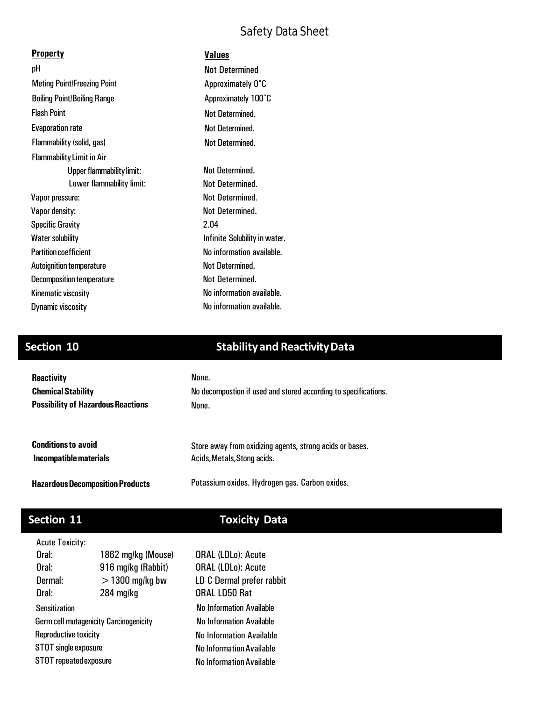| <b>Property</b>                    | Values                        |
|------------------------------------|-------------------------------|
| рH                                 | <b>Not Determined</b>         |
| <b>Meting Point/Freezing Point</b> | Approximately 0°C             |
| <b>Boiling Point/Boiling Range</b> | Approximately 100°C           |
| <b>Flash Point</b>                 | <b>Not Determined.</b>        |
| <b>Evaporation rate</b>            | Not Determined.               |
| Flammability (solid, gas)          | <b>Not Determined.</b>        |
| <b>Flammability Limit in Air</b>   |                               |
| Upper flammability limit:          | Not Determined.               |
| Lower flammability limit:          | Not Determined.               |
| Vapor pressure:                    | Not Determined.               |
| Vapor density:                     | Not Determined.               |
| <b>Specific Gravity</b>            | 2.04                          |
| <b>Water solubility</b>            | Infinite Solubility in water. |
| <b>Partition coefficient</b>       | No information available.     |
| <b>Autoignition temperature</b>    | Not Determined.               |
| <b>Decomposition temperature</b>   | Not Determined.               |
| Kinematic viscosity                | No information available.     |
| Dynamic viscosity                  | No information available.     |

# **Section 10 Stabilityand ReactivityData**

| <b>Reactivity</b>                         | None.                                                           |
|-------------------------------------------|-----------------------------------------------------------------|
| <b>Chemical Stability</b>                 | No decompostion if used and stored according to specifications. |
| <b>Possibility of Hazardous Reactions</b> | None.                                                           |
| <b>Conditions to avoid</b>                | Store away from oxidizing agents, strong acids or bases.        |
| Incompatible materials                    | Acids, Metals, Stong acids.                                     |
| <b>Hazardous Decomposition Products</b>   | Potassium oxides. Hydrogen gas. Carbon oxides.                  |

# **Section 11 Toxicity Data**

| <b>Acute Toxicity:</b> |
|------------------------|
|                        |

| Oral:                                         | 1862 mg/kg (Mouse) | Ω |
|-----------------------------------------------|--------------------|---|
| Oral:                                         | 916 mg/kg (Rabbit) | Ω |
| Dermal:                                       | $>$ 1300 mg/kg bw  | L |
| Oral:                                         | $284$ mg/kg        | 0 |
| <b>Sensitization</b>                          |                    | Λ |
| <b>Germ cell mutagenicity Carcinogenicity</b> |                    | Λ |
| Reproductive toxicity                         |                    | N |
| STOT single exposure                          |                    | N |
| STOT repeated exposure                        |                    | N |

lo Information Available Io Information Available **Io Information Available** No Information Available No Information Available **ORAL (LDLo): Acute** ORAL (LDLo): Acute D C Dermal prefer rabbit RAL LD50 Rat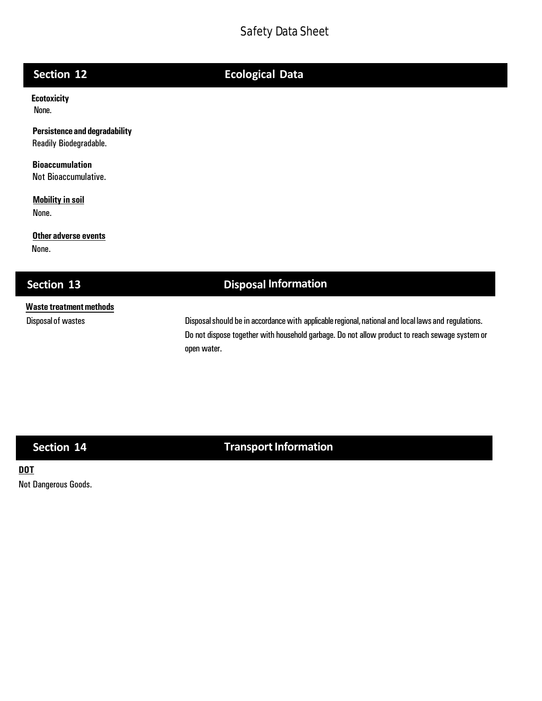# **Section 12 Ecological Data**

**Ecotoxicity**  None.

**Persistenceand degradability** Readily Biodegradable.

**Bioaccumulation** Not Bioaccumulative.

**Mobility in soil** None.

**Other adverse events** None.

## **Section 13 Disposal Information**

# **Waste treatmentmethods**

Disposal of wastes **Disposalshould be** in accordance with applicable regional, national and local laws and regulations. Do not dispose together with household garbage. Do not allow product to reach sewage system or open water.

# **Section 14 Transport Information**

## **DOT**

Not Dangerous Goods.